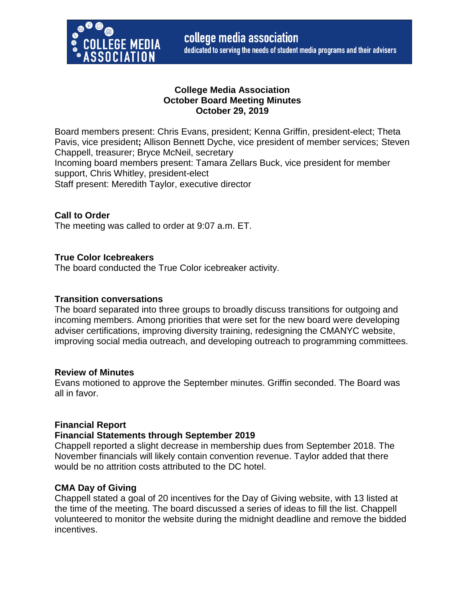

## **College Media Association October Board Meeting Minutes October 29, 2019**

Board members present: Chris Evans, president; Kenna Griffin, president-elect; Theta Pavis, vice president**;** Allison Bennett Dyche, vice president of member services; Steven Chappell, treasurer; Bryce McNeil, secretary Incoming board members present: Tamara Zellars Buck, vice president for member support, Chris Whitley, president-elect Staff present: Meredith Taylor, executive director

### **Call to Order**

The meeting was called to order at 9:07 a.m. ET.

#### **True Color Icebreakers**

The board conducted the True Color icebreaker activity.

#### **Transition conversations**

The board separated into three groups to broadly discuss transitions for outgoing and incoming members. Among priorities that were set for the new board were developing adviser certifications, improving diversity training, redesigning the CMANYC website, improving social media outreach, and developing outreach to programming committees.

#### **Review of Minutes**

Evans motioned to approve the September minutes. Griffin seconded. The Board was all in favor.

### **Financial Report**

#### **Financial Statements through September 2019**

Chappell reported a slight decrease in membership dues from September 2018. The November financials will likely contain convention revenue. Taylor added that there would be no attrition costs attributed to the DC hotel.

#### **CMA Day of Giving**

Chappell stated a goal of 20 incentives for the Day of Giving website, with 13 listed at the time of the meeting. The board discussed a series of ideas to fill the list. Chappell volunteered to monitor the website during the midnight deadline and remove the bidded incentives.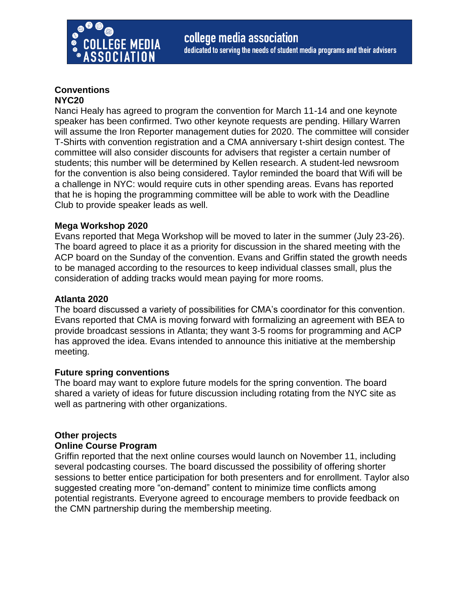

#### **Conventions NYC20**

Nanci Healy has agreed to program the convention for March 11-14 and one keynote speaker has been confirmed. Two other keynote requests are pending. Hillary Warren will assume the Iron Reporter management duties for 2020. The committee will consider T-Shirts with convention registration and a CMA anniversary t-shirt design contest. The committee will also consider discounts for advisers that register a certain number of students; this number will be determined by Kellen research. A student-led newsroom for the convention is also being considered. Taylor reminded the board that Wifi will be a challenge in NYC: would require cuts in other spending areas. Evans has reported that he is hoping the programming committee will be able to work with the Deadline Club to provide speaker leads as well.

# **Mega Workshop 2020**

Evans reported that Mega Workshop will be moved to later in the summer (July 23-26). The board agreed to place it as a priority for discussion in the shared meeting with the ACP board on the Sunday of the convention. Evans and Griffin stated the growth needs to be managed according to the resources to keep individual classes small, plus the consideration of adding tracks would mean paying for more rooms.

## **Atlanta 2020**

The board discussed a variety of possibilities for CMA's coordinator for this convention. Evans reported that CMA is moving forward with formalizing an agreement with BEA to provide broadcast sessions in Atlanta; they want 3-5 rooms for programming and ACP has approved the idea. Evans intended to announce this initiative at the membership meeting.

### **Future spring conventions**

The board may want to explore future models for the spring convention. The board shared a variety of ideas for future discussion including rotating from the NYC site as well as partnering with other organizations.

### **Other projects**

### **Online Course Program**

Griffin reported that the next online courses would launch on November 11, including several podcasting courses. The board discussed the possibility of offering shorter sessions to better entice participation for both presenters and for enrollment. Taylor also suggested creating more "on-demand" content to minimize time conflicts among potential registrants. Everyone agreed to encourage members to provide feedback on the CMN partnership during the membership meeting.